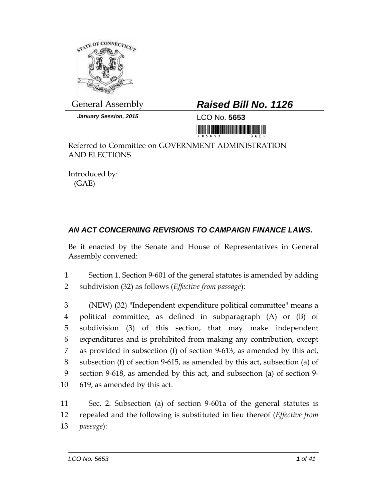

*January Session, 2015* LCO No. **5653**

## General Assembly *Raised Bill No. 1126*

<u> III di kacamatan ing Kabupatèn Ing Kabupatèn Ing Kabupatèn Ing Kabupatèn Ing Kabupatèn Ing Kabupatèn Ing Kabupa</u>

Referred to Committee on GOVERNMENT ADMINISTRATION AND ELECTIONS

Introduced by: (GAE)

## *AN ACT CONCERNING REVISIONS TO CAMPAIGN FINANCE LAWS.*

Be it enacted by the Senate and House of Representatives in General Assembly convened:

1 Section 1. Section 9-601 of the general statutes is amended by adding 2 subdivision (32) as follows (*Effective from passage*):

 (NEW) (32) "Independent expenditure political committee" means a political committee, as defined in subparagraph (A) or (B) of subdivision (3) of this section, that may make independent expenditures and is prohibited from making any contribution, except as provided in subsection (f) of section 9-613, as amended by this act, subsection (f) of section 9-615, as amended by this act, subsection (a) of section 9-618, as amended by this act, and subsection (a) of section 9- 619, as amended by this act.

11 Sec. 2. Subsection (a) of section 9-601a of the general statutes is 12 repealed and the following is substituted in lieu thereof (*Effective from*  13 *passage*):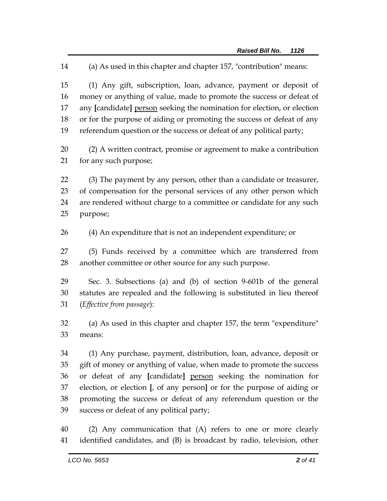(a) As used in this chapter and chapter 157, "contribution" means: (1) Any gift, subscription, loan, advance, payment or deposit of money or anything of value, made to promote the success or defeat of any **[**candidate**]** person seeking the nomination for election, or election or for the purpose of aiding or promoting the success or defeat of any referendum question or the success or defeat of any political party; (2) A written contract, promise or agreement to make a contribution for any such purpose; (3) The payment by any person, other than a candidate or treasurer, of compensation for the personal services of any other person which are rendered without charge to a committee or candidate for any such purpose; (4) An expenditure that is not an independent expenditure; or (5) Funds received by a committee which are transferred from another committee or other source for any such purpose. Sec. 3. Subsections (a) and (b) of section 9-601b of the general statutes are repealed and the following is substituted in lieu thereof (*Effective from passage*): (a) As used in this chapter and chapter 157, the term "expenditure" means: (1) Any purchase, payment, distribution, loan, advance, deposit or gift of money or anything of value, when made to promote the success or defeat of any **[**candidate**]** person seeking the nomination for election, or election **[**, of any person**]** or for the purpose of aiding or promoting the success or defeat of any referendum question or the success or defeat of any political party;

 (2) Any communication that (A) refers to one or more clearly identified candidates, and (B) is broadcast by radio, television, other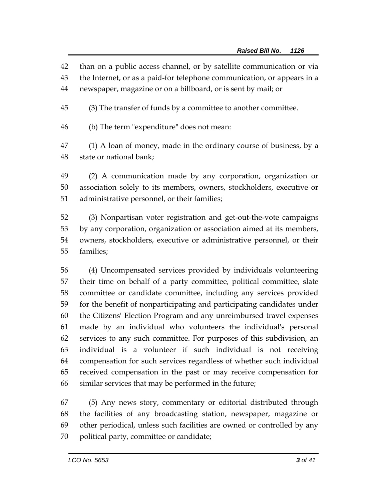than on a public access channel, or by satellite communication or via the Internet, or as a paid-for telephone communication, or appears in a newspaper, magazine or on a billboard, or is sent by mail; or (3) The transfer of funds by a committee to another committee. (b) The term "expenditure" does not mean: (1) A loan of money, made in the ordinary course of business, by a state or national bank; (2) A communication made by any corporation, organization or association solely to its members, owners, stockholders, executive or administrative personnel, or their families; (3) Nonpartisan voter registration and get-out-the-vote campaigns by any corporation, organization or association aimed at its members, owners, stockholders, executive or administrative personnel, or their families; (4) Uncompensated services provided by individuals volunteering their time on behalf of a party committee, political committee, slate committee or candidate committee, including any services provided for the benefit of nonparticipating and participating candidates under the Citizens' Election Program and any unreimbursed travel expenses made by an individual who volunteers the individual's personal services to any such committee. For purposes of this subdivision, an individual is a volunteer if such individual is not receiving compensation for such services regardless of whether such individual received compensation in the past or may receive compensation for

 (5) Any news story, commentary or editorial distributed through the facilities of any broadcasting station, newspaper, magazine or other periodical, unless such facilities are owned or controlled by any political party, committee or candidate;

similar services that may be performed in the future;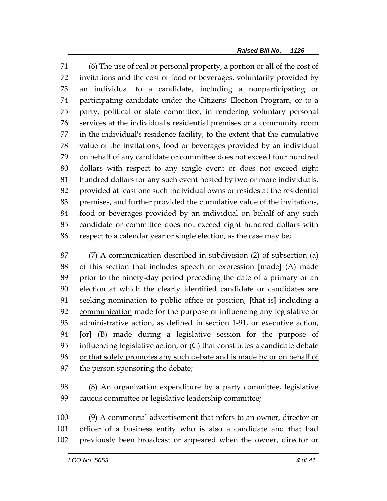(6) The use of real or personal property, a portion or all of the cost of invitations and the cost of food or beverages, voluntarily provided by an individual to a candidate, including a nonparticipating or participating candidate under the Citizens' Election Program, or to a party, political or slate committee, in rendering voluntary personal services at the individual's residential premises or a community room in the individual's residence facility, to the extent that the cumulative value of the invitations, food or beverages provided by an individual on behalf of any candidate or committee does not exceed four hundred dollars with respect to any single event or does not exceed eight hundred dollars for any such event hosted by two or more individuals, provided at least one such individual owns or resides at the residential premises, and further provided the cumulative value of the invitations, food or beverages provided by an individual on behalf of any such candidate or committee does not exceed eight hundred dollars with respect to a calendar year or single election, as the case may be;

 (7) A communication described in subdivision (2) of subsection (a) of this section that includes speech or expression **[**made**]** (A) made prior to the ninety-day period preceding the date of a primary or an election at which the clearly identified candidate or candidates are seeking nomination to public office or position, **[**that is**]** including a 92 communication made for the purpose of influencing any legislative or administrative action, as defined in section 1-91, or executive action, **[**or**]** (B) made during a legislative session for the purpose of 95 influencing legislative action, or (C) that constitutes a candidate debate or that solely promotes any such debate and is made by or on behalf of 97 the person sponsoring the debate;

 (8) An organization expenditure by a party committee, legislative caucus committee or legislative leadership committee;

 (9) A commercial advertisement that refers to an owner, director or officer of a business entity who is also a candidate and that had previously been broadcast or appeared when the owner, director or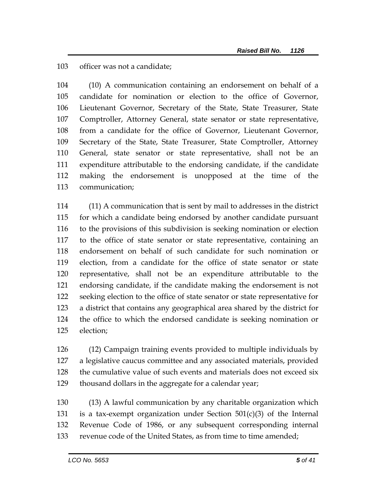officer was not a candidate;

 (10) A communication containing an endorsement on behalf of a candidate for nomination or election to the office of Governor, Lieutenant Governor, Secretary of the State, State Treasurer, State Comptroller, Attorney General, state senator or state representative, from a candidate for the office of Governor, Lieutenant Governor, Secretary of the State, State Treasurer, State Comptroller, Attorney General, state senator or state representative, shall not be an expenditure attributable to the endorsing candidate, if the candidate making the endorsement is unopposed at the time of the communication;

 (11) A communication that is sent by mail to addresses in the district for which a candidate being endorsed by another candidate pursuant to the provisions of this subdivision is seeking nomination or election to the office of state senator or state representative, containing an endorsement on behalf of such candidate for such nomination or election, from a candidate for the office of state senator or state representative, shall not be an expenditure attributable to the endorsing candidate, if the candidate making the endorsement is not seeking election to the office of state senator or state representative for a district that contains any geographical area shared by the district for the office to which the endorsed candidate is seeking nomination or election;

 (12) Campaign training events provided to multiple individuals by a legislative caucus committee and any associated materials, provided the cumulative value of such events and materials does not exceed six thousand dollars in the aggregate for a calendar year;

 (13) A lawful communication by any charitable organization which 131 is a tax-exempt organization under Section  $501(c)(3)$  of the Internal Revenue Code of 1986, or any subsequent corresponding internal revenue code of the United States, as from time to time amended;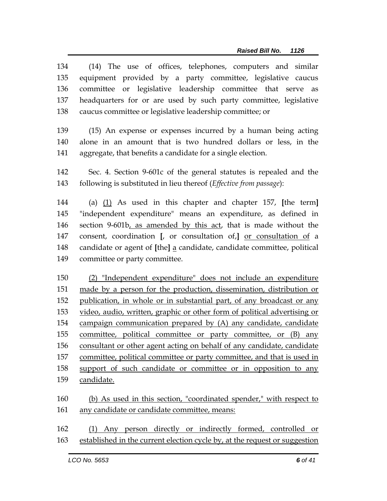(14) The use of offices, telephones, computers and similar equipment provided by a party committee, legislative caucus committee or legislative leadership committee that serve as headquarters for or are used by such party committee, legislative caucus committee or legislative leadership committee; or

 (15) An expense or expenses incurred by a human being acting alone in an amount that is two hundred dollars or less, in the aggregate, that benefits a candidate for a single election.

 Sec. 4. Section 9-601c of the general statutes is repealed and the following is substituted in lieu thereof (*Effective from passage*):

 (a) (1) As used in this chapter and chapter 157, **[**the term**]** "independent expenditure" means an expenditure, as defined in section 9-601b, as amended by this act, that is made without the consent, coordination **[**, or consultation of,**]** or consultation of a candidate or agent of **[**the**]** a candidate, candidate committee, political committee or party committee.

 (2) "Independent expenditure" does not include an expenditure made by a person for the production, dissemination, distribution or publication, in whole or in substantial part, of any broadcast or any video, audio, written, graphic or other form of political advertising or campaign communication prepared by (A) any candidate, candidate committee, political committee or party committee, or (B) any consultant or other agent acting on behalf of any candidate, candidate committee, political committee or party committee, and that is used in support of such candidate or committee or in opposition to any candidate.

 (b) As used in this section, "coordinated spender," with respect to any candidate or candidate committee, means:

 (1) Any person directly or indirectly formed, controlled or established in the current election cycle by, at the request or suggestion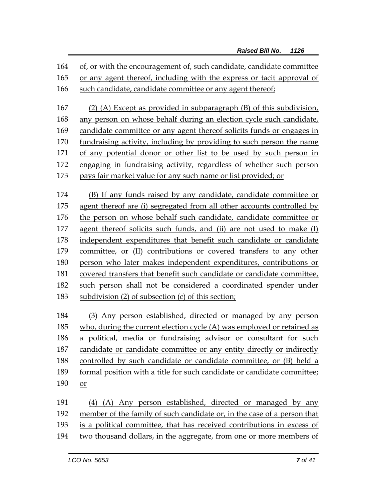of, or with the encouragement of, such candidate, candidate committee or any agent thereof, including with the express or tacit approval of such candidate, candidate committee or any agent thereof;

 (2) (A) Except as provided in subparagraph (B) of this subdivision, any person on whose behalf during an election cycle such candidate, candidate committee or any agent thereof solicits funds or engages in fundraising activity, including by providing to such person the name of any potential donor or other list to be used by such person in engaging in fundraising activity, regardless of whether such person pays fair market value for any such name or list provided; or

 (B) If any funds raised by any candidate, candidate committee or agent thereof are (i) segregated from all other accounts controlled by the person on whose behalf such candidate, candidate committee or agent thereof solicits such funds, and (ii) are not used to make (I) independent expenditures that benefit such candidate or candidate committee, or (II) contributions or covered transfers to any other person who later makes independent expenditures, contributions or 181 covered transfers that benefit such candidate or candidate committee, such person shall not be considered a coordinated spender under subdivision (2) of subsection (c) of this section;

 (3) Any person established, directed or managed by any person who, during the current election cycle (A) was employed or retained as a political, media or fundraising advisor or consultant for such candidate or candidate committee or any entity directly or indirectly controlled by such candidate or candidate committee, or (B) held a formal position with a title for such candidate or candidate committee; or

 (4) (A) Any person established, directed or managed by any member of the family of such candidate or, in the case of a person that is a political committee, that has received contributions in excess of two thousand dollars, in the aggregate, from one or more members of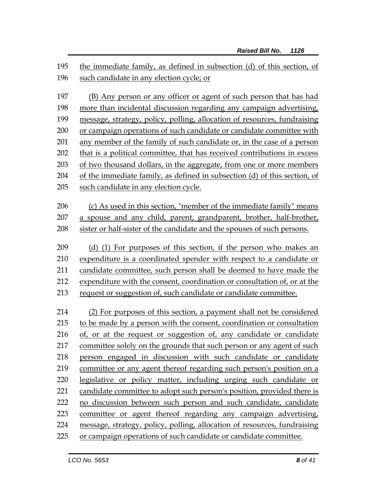the immediate family, as defined in subsection (d) of this section, of such candidate in any election cycle; or

 (B) Any person or any officer or agent of such person that has had more than incidental discussion regarding any campaign advertising, message, strategy, policy, polling, allocation of resources, fundraising or campaign operations of such candidate or candidate committee with any member of the family of such candidate or, in the case of a person that is a political committee, that has received contributions in excess of two thousand dollars, in the aggregate, from one or more members of the immediate family, as defined in subsection (d) of this section, of such candidate in any election cycle.

 (c) As used in this section, "member of the immediate family" means a spouse and any child, parent, grandparent, brother, half-brother, sister or half-sister of the candidate and the spouses of such persons.

 (d) (1) For purposes of this section, if the person who makes an expenditure is a coordinated spender with respect to a candidate or candidate committee, such person shall be deemed to have made the expenditure with the consent, coordination or consultation of, or at the request or suggestion of, such candidate or candidate committee.

 (2) For purposes of this section, a payment shall not be considered to be made by a person with the consent, coordination or consultation of, or at the request or suggestion of, any candidate or candidate committee solely on the grounds that such person or any agent of such person engaged in discussion with such candidate or candidate committee or any agent thereof regarding such person's position on a legislative or policy matter, including urging such candidate or candidate committee to adopt such person's position, provided there is no discussion between such person and such candidate, candidate committee or agent thereof regarding any campaign advertising, message, strategy, policy, polling, allocation of resources, fundraising or campaign operations of such candidate or candidate committee.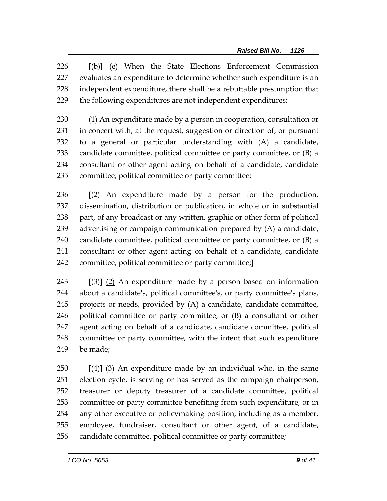**[**(b)**]** (e) When the State Elections Enforcement Commission evaluates an expenditure to determine whether such expenditure is an independent expenditure, there shall be a rebuttable presumption that the following expenditures are not independent expenditures:

 (1) An expenditure made by a person in cooperation, consultation or in concert with, at the request, suggestion or direction of, or pursuant to a general or particular understanding with (A) a candidate, candidate committee, political committee or party committee, or (B) a consultant or other agent acting on behalf of a candidate, candidate committee, political committee or party committee;

 **[**(2) An expenditure made by a person for the production, dissemination, distribution or publication, in whole or in substantial part, of any broadcast or any written, graphic or other form of political advertising or campaign communication prepared by (A) a candidate, candidate committee, political committee or party committee, or (B) a consultant or other agent acting on behalf of a candidate, candidate committee, political committee or party committee;**]** 

 **[**(3)**]** (2) An expenditure made by a person based on information about a candidate's, political committee's, or party committee's plans, projects or needs, provided by (A) a candidate, candidate committee, political committee or party committee, or (B) a consultant or other agent acting on behalf of a candidate, candidate committee, political committee or party committee, with the intent that such expenditure be made;

 **[**(4)**]** (3) An expenditure made by an individual who, in the same election cycle, is serving or has served as the campaign chairperson, treasurer or deputy treasurer of a candidate committee, political committee or party committee benefiting from such expenditure, or in any other executive or policymaking position, including as a member, employee, fundraiser, consultant or other agent, of a candidate, candidate committee, political committee or party committee;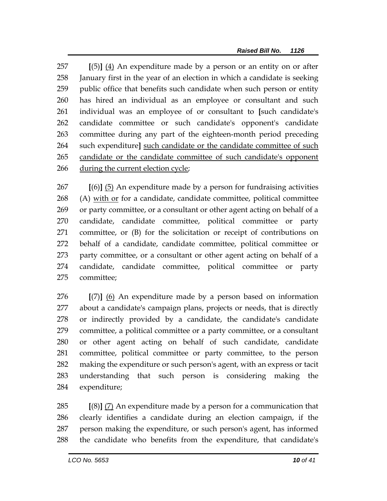**[**(5)**]** (4) An expenditure made by a person or an entity on or after January first in the year of an election in which a candidate is seeking public office that benefits such candidate when such person or entity has hired an individual as an employee or consultant and such individual was an employee of or consultant to **[**such candidate's candidate committee or such candidate's opponent's candidate committee during any part of the eighteen-month period preceding such expenditure**]** such candidate or the candidate committee of such 265 candidate or the candidate committee of such candidate's opponent during the current election cycle;

 **[**(6)**]** (5) An expenditure made by a person for fundraising activities (A) with or for a candidate, candidate committee, political committee or party committee, or a consultant or other agent acting on behalf of a candidate, candidate committee, political committee or party committee, or (B) for the solicitation or receipt of contributions on behalf of a candidate, candidate committee, political committee or party committee, or a consultant or other agent acting on behalf of a candidate, candidate committee, political committee or party committee;

 **[**(7)**]** (6) An expenditure made by a person based on information about a candidate's campaign plans, projects or needs, that is directly or indirectly provided by a candidate, the candidate's candidate committee, a political committee or a party committee, or a consultant or other agent acting on behalf of such candidate, candidate committee, political committee or party committee, to the person making the expenditure or such person's agent, with an express or tacit understanding that such person is considering making the expenditure;

 **[**(8)**]** (7) An expenditure made by a person for a communication that clearly identifies a candidate during an election campaign, if the person making the expenditure, or such person's agent, has informed the candidate who benefits from the expenditure, that candidate's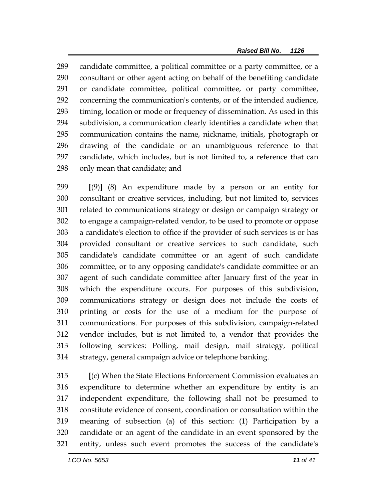candidate committee, a political committee or a party committee, or a consultant or other agent acting on behalf of the benefiting candidate or candidate committee, political committee, or party committee, concerning the communication's contents, or of the intended audience, timing, location or mode or frequency of dissemination. As used in this subdivision, a communication clearly identifies a candidate when that communication contains the name, nickname, initials, photograph or drawing of the candidate or an unambiguous reference to that candidate, which includes, but is not limited to, a reference that can only mean that candidate; and

 **[**(9)**]** (8) An expenditure made by a person or an entity for consultant or creative services, including, but not limited to, services related to communications strategy or design or campaign strategy or to engage a campaign-related vendor, to be used to promote or oppose a candidate's election to office if the provider of such services is or has provided consultant or creative services to such candidate, such candidate's candidate committee or an agent of such candidate committee, or to any opposing candidate's candidate committee or an agent of such candidate committee after January first of the year in which the expenditure occurs. For purposes of this subdivision, communications strategy or design does not include the costs of printing or costs for the use of a medium for the purpose of communications. For purposes of this subdivision, campaign-related vendor includes, but is not limited to, a vendor that provides the following services: Polling, mail design, mail strategy, political strategy, general campaign advice or telephone banking.

 **[**(c) When the State Elections Enforcement Commission evaluates an expenditure to determine whether an expenditure by entity is an independent expenditure, the following shall not be presumed to constitute evidence of consent, coordination or consultation within the meaning of subsection (a) of this section: (1) Participation by a candidate or an agent of the candidate in an event sponsored by the entity, unless such event promotes the success of the candidate's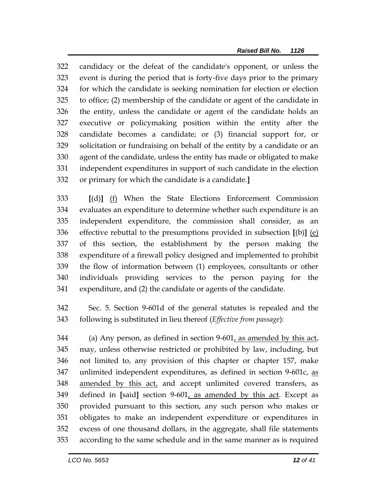candidacy or the defeat of the candidate's opponent, or unless the event is during the period that is forty-five days prior to the primary for which the candidate is seeking nomination for election or election to office; (2) membership of the candidate or agent of the candidate in the entity, unless the candidate or agent of the candidate holds an executive or policymaking position within the entity after the candidate becomes a candidate; or (3) financial support for, or solicitation or fundraising on behalf of the entity by a candidate or an agent of the candidate, unless the entity has made or obligated to make independent expenditures in support of such candidate in the election or primary for which the candidate is a candidate.**]**

 **[**(d)**]** (f) When the State Elections Enforcement Commission evaluates an expenditure to determine whether such expenditure is an independent expenditure, the commission shall consider, as an effective rebuttal to the presumptions provided in subsection **[**(b)**]** (e) of this section, the establishment by the person making the expenditure of a firewall policy designed and implemented to prohibit the flow of information between (1) employees, consultants or other individuals providing services to the person paying for the expenditure, and (2) the candidate or agents of the candidate.

 Sec. 5. Section 9-601d of the general statutes is repealed and the following is substituted in lieu thereof (*Effective from passage*):

 (a) Any person, as defined in section 9-601, as amended by this act, may, unless otherwise restricted or prohibited by law, including, but not limited to, any provision of this chapter or chapter 157, make unlimited independent expenditures, as defined in section 9-601c, as 348 amended by this act, and accept unlimited covered transfers, as defined in **[**said**]** section 9-601, as amended by this act. Except as provided pursuant to this section, any such person who makes or obligates to make an independent expenditure or expenditures in excess of one thousand dollars, in the aggregate, shall file statements according to the same schedule and in the same manner as is required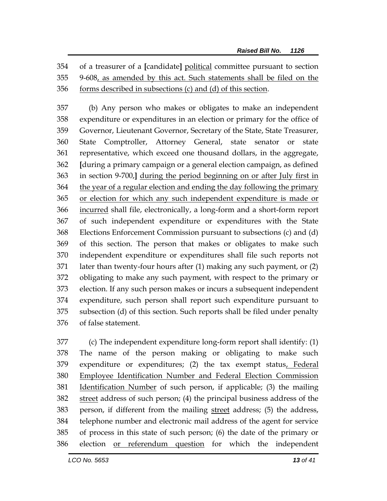of a treasurer of a **[**candidate**]** political committee pursuant to section 9-608, as amended by this act. Such statements shall be filed on the

forms described in subsections (c) and (d) of this section.

 (b) Any person who makes or obligates to make an independent expenditure or expenditures in an election or primary for the office of Governor, Lieutenant Governor, Secretary of the State, State Treasurer, State Comptroller, Attorney General, state senator or state representative, which exceed one thousand dollars, in the aggregate, **[**during a primary campaign or a general election campaign, as defined in section 9-700,**]** during the period beginning on or after July first in 364 the year of a regular election and ending the day following the primary or election for which any such independent expenditure is made or incurred shall file, electronically, a long-form and a short-form report of such independent expenditure or expenditures with the State Elections Enforcement Commission pursuant to subsections (c) and (d) of this section. The person that makes or obligates to make such independent expenditure or expenditures shall file such reports not later than twenty-four hours after (1) making any such payment, or (2) obligating to make any such payment, with respect to the primary or election. If any such person makes or incurs a subsequent independent expenditure, such person shall report such expenditure pursuant to subsection (d) of this section. Such reports shall be filed under penalty of false statement.

 (c) The independent expenditure long-form report shall identify: (1) The name of the person making or obligating to make such expenditure or expenditures; (2) the tax exempt status, Federal Employee Identification Number and Federal Election Commission Identification Number of such person, if applicable; (3) the mailing street address of such person; (4) the principal business address of the 383 person, if different from the mailing street address; (5) the address, telephone number and electronic mail address of the agent for service of process in this state of such person; (6) the date of the primary or election or referendum question for which the independent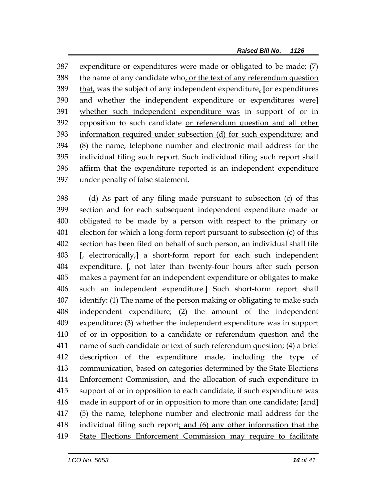expenditure or expenditures were made or obligated to be made; (7) the name of any candidate who, or the text of any referendum question that, was the subject of any independent expenditure, **[**or expenditures and whether the independent expenditure or expenditures were**]** whether such independent expenditure was in support of or in opposition to such candidate or referendum question and all other information required under subsection (d) for such expenditure; and (8) the name, telephone number and electronic mail address for the individual filing such report. Such individual filing such report shall affirm that the expenditure reported is an independent expenditure under penalty of false statement.

 (d) As part of any filing made pursuant to subsection (c) of this section and for each subsequent independent expenditure made or obligated to be made by a person with respect to the primary or election for which a long-form report pursuant to subsection (c) of this section has been filed on behalf of such person, an individual shall file **[**, electronically,**]** a short-form report for each such independent expenditure. **[**, not later than twenty-four hours after such person makes a payment for an independent expenditure or obligates to make such an independent expenditure.**]** Such short-form report shall identify: (1) The name of the person making or obligating to make such independent expenditure; (2) the amount of the independent expenditure; (3) whether the independent expenditure was in support of or in opposition to a candidate or referendum question and the name of such candidate or text of such referendum question; (4) a brief description of the expenditure made, including the type of communication, based on categories determined by the State Elections Enforcement Commission, and the allocation of such expenditure in support of or in opposition to each candidate, if such expenditure was made in support of or in opposition to more than one candidate; **[**and**]** (5) the name, telephone number and electronic mail address for the individual filing such report; and (6) any other information that the State Elections Enforcement Commission may require to facilitate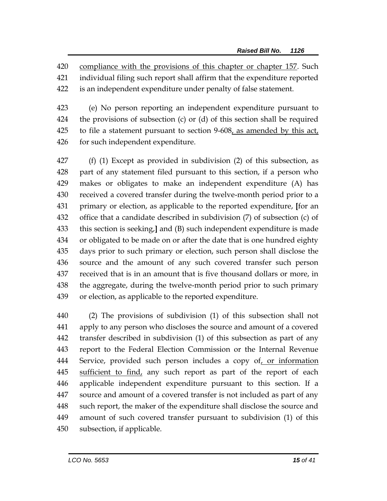compliance with the provisions of this chapter or chapter 157. Such

- individual filing such report shall affirm that the expenditure reported
- is an independent expenditure under penalty of false statement.

 (e) No person reporting an independent expenditure pursuant to the provisions of subsection (c) or (d) of this section shall be required 425 to file a statement pursuant to section 9-608, as amended by this act, for such independent expenditure.

 (f) (1) Except as provided in subdivision (2) of this subsection, as part of any statement filed pursuant to this section, if a person who makes or obligates to make an independent expenditure (A) has received a covered transfer during the twelve-month period prior to a primary or election, as applicable to the reported expenditure, **[**for an office that a candidate described in subdivision (7) of subsection (c) of this section is seeking,**]** and (B) such independent expenditure is made or obligated to be made on or after the date that is one hundred eighty days prior to such primary or election, such person shall disclose the source and the amount of any such covered transfer such person received that is in an amount that is five thousand dollars or more, in the aggregate, during the twelve-month period prior to such primary or election, as applicable to the reported expenditure.

 (2) The provisions of subdivision (1) of this subsection shall not apply to any person who discloses the source and amount of a covered transfer described in subdivision (1) of this subsection as part of any report to the Federal Election Commission or the Internal Revenue 444 Service, provided such person includes a copy of, or information sufficient to find, any such report as part of the report of each applicable independent expenditure pursuant to this section. If a source and amount of a covered transfer is not included as part of any such report, the maker of the expenditure shall disclose the source and amount of such covered transfer pursuant to subdivision (1) of this subsection, if applicable.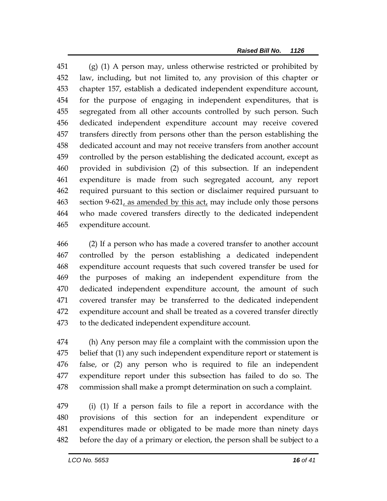(g) (1) A person may, unless otherwise restricted or prohibited by law, including, but not limited to, any provision of this chapter or chapter 157, establish a dedicated independent expenditure account, for the purpose of engaging in independent expenditures, that is segregated from all other accounts controlled by such person. Such dedicated independent expenditure account may receive covered transfers directly from persons other than the person establishing the dedicated account and may not receive transfers from another account controlled by the person establishing the dedicated account, except as provided in subdivision (2) of this subsection. If an independent expenditure is made from such segregated account, any report required pursuant to this section or disclaimer required pursuant to section 9-621, as amended by this act, may include only those persons who made covered transfers directly to the dedicated independent expenditure account.

 (2) If a person who has made a covered transfer to another account controlled by the person establishing a dedicated independent expenditure account requests that such covered transfer be used for the purposes of making an independent expenditure from the dedicated independent expenditure account, the amount of such covered transfer may be transferred to the dedicated independent expenditure account and shall be treated as a covered transfer directly to the dedicated independent expenditure account.

 (h) Any person may file a complaint with the commission upon the belief that (1) any such independent expenditure report or statement is false, or (2) any person who is required to file an independent expenditure report under this subsection has failed to do so. The commission shall make a prompt determination on such a complaint.

 (i) (1) If a person fails to file a report in accordance with the provisions of this section for an independent expenditure or expenditures made or obligated to be made more than ninety days before the day of a primary or election, the person shall be subject to a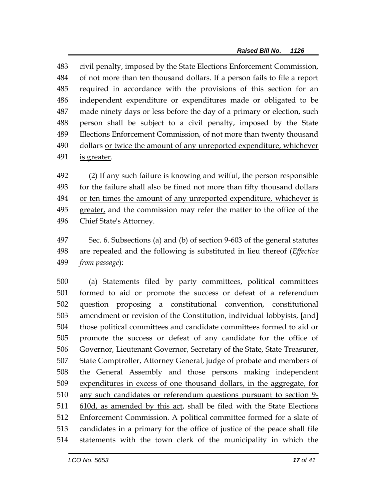civil penalty, imposed by the State Elections Enforcement Commission, of not more than ten thousand dollars. If a person fails to file a report required in accordance with the provisions of this section for an independent expenditure or expenditures made or obligated to be made ninety days or less before the day of a primary or election, such person shall be subject to a civil penalty, imposed by the State Elections Enforcement Commission, of not more than twenty thousand 490 dollars or twice the amount of any unreported expenditure, whichever is greater.

 (2) If any such failure is knowing and wilful, the person responsible for the failure shall also be fined not more than fifty thousand dollars or ten times the amount of any unreported expenditure, whichever is greater, and the commission may refer the matter to the office of the Chief State's Attorney.

 Sec. 6. Subsections (a) and (b) of section 9-603 of the general statutes are repealed and the following is substituted in lieu thereof (*Effective from passage*):

 (a) Statements filed by party committees, political committees formed to aid or promote the success or defeat of a referendum question proposing a constitutional convention, constitutional amendment or revision of the Constitution, individual lobbyists, **[**and**]** those political committees and candidate committees formed to aid or promote the success or defeat of any candidate for the office of Governor, Lieutenant Governor, Secretary of the State, State Treasurer, State Comptroller, Attorney General, judge of probate and members of the General Assembly and those persons making independent expenditures in excess of one thousand dollars, in the aggregate, for any such candidates or referendum questions pursuant to section 9- 610d, as amended by this act, shall be filed with the State Elections Enforcement Commission. A political committee formed for a slate of candidates in a primary for the office of justice of the peace shall file statements with the town clerk of the municipality in which the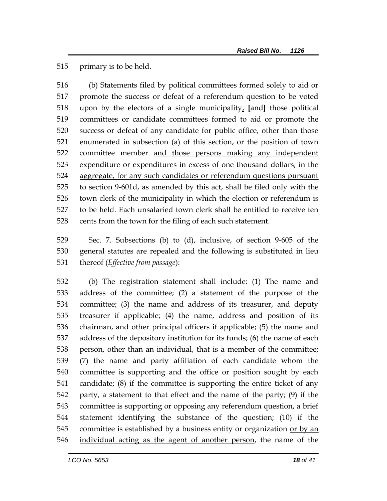primary is to be held.

 (b) Statements filed by political committees formed solely to aid or promote the success or defeat of a referendum question to be voted upon by the electors of a single municipality, **[**and**]** those political committees or candidate committees formed to aid or promote the success or defeat of any candidate for public office, other than those enumerated in subsection (a) of this section, or the position of town committee member and those persons making any independent expenditure or expenditures in excess of one thousand dollars, in the aggregate, for any such candidates or referendum questions pursuant to section 9-601d, as amended by this act, shall be filed only with the town clerk of the municipality in which the election or referendum is to be held. Each unsalaried town clerk shall be entitled to receive ten cents from the town for the filing of each such statement.

 Sec. 7. Subsections (b) to (d), inclusive, of section 9-605 of the general statutes are repealed and the following is substituted in lieu thereof (*Effective from passage*):

 (b) The registration statement shall include: (1) The name and address of the committee; (2) a statement of the purpose of the committee; (3) the name and address of its treasurer, and deputy treasurer if applicable; (4) the name, address and position of its chairman, and other principal officers if applicable; (5) the name and address of the depository institution for its funds; (6) the name of each person, other than an individual, that is a member of the committee; (7) the name and party affiliation of each candidate whom the committee is supporting and the office or position sought by each candidate; (8) if the committee is supporting the entire ticket of any party, a statement to that effect and the name of the party; (9) if the committee is supporting or opposing any referendum question, a brief statement identifying the substance of the question; (10) if the committee is established by a business entity or organization or by an individual acting as the agent of another person, the name of the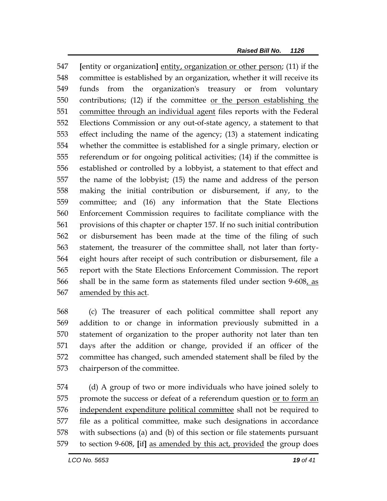**[**entity or organization**]** entity, organization or other person; (11) if the committee is established by an organization, whether it will receive its funds from the organization's treasury or from voluntary contributions; (12) if the committee or the person establishing the committee through an individual agent files reports with the Federal Elections Commission or any out-of-state agency, a statement to that effect including the name of the agency; (13) a statement indicating whether the committee is established for a single primary, election or referendum or for ongoing political activities; (14) if the committee is established or controlled by a lobbyist, a statement to that effect and the name of the lobbyist; (15) the name and address of the person making the initial contribution or disbursement, if any, to the committee; and (16) any information that the State Elections Enforcement Commission requires to facilitate compliance with the provisions of this chapter or chapter 157. If no such initial contribution or disbursement has been made at the time of the filing of such statement, the treasurer of the committee shall, not later than forty- eight hours after receipt of such contribution or disbursement, file a report with the State Elections Enforcement Commission. The report 566 shall be in the same form as statements filed under section 9-608, as amended by this act.

 (c) The treasurer of each political committee shall report any addition to or change in information previously submitted in a statement of organization to the proper authority not later than ten days after the addition or change, provided if an officer of the committee has changed, such amended statement shall be filed by the chairperson of the committee.

 (d) A group of two or more individuals who have joined solely to promote the success or defeat of a referendum question or to form an independent expenditure political committee shall not be required to file as a political committee, make such designations in accordance with subsections (a) and (b) of this section or file statements pursuant to section 9-608, **[**if**]** as amended by this act, provided the group does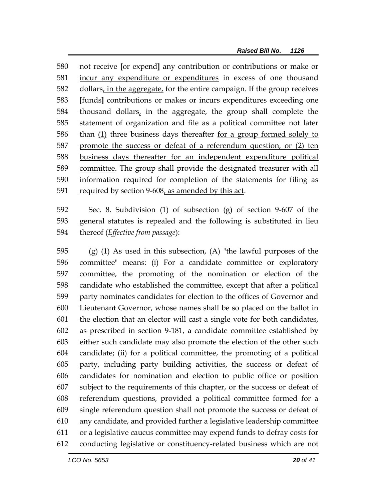not receive **[**or expend**]** any contribution or contributions or make or incur any expenditure or expenditures in excess of one thousand dollars, in the aggregate, for the entire campaign. If the group receives **[**funds**]** contributions or makes or incurs expenditures exceeding one thousand dollars, in the aggregate, the group shall complete the statement of organization and file as a political committee not later 586 than (1) three business days thereafter for a group formed solely to 587 promote the success or defeat of a referendum question, or (2) ten business days thereafter for an independent expenditure political committee. The group shall provide the designated treasurer with all information required for completion of the statements for filing as required by section 9-608, as amended by this act.

 Sec. 8. Subdivision (1) of subsection (g) of section 9-607 of the general statutes is repealed and the following is substituted in lieu thereof (*Effective from passage*):

 (g) (1) As used in this subsection, (A) "the lawful purposes of the committee" means: (i) For a candidate committee or exploratory committee, the promoting of the nomination or election of the candidate who established the committee, except that after a political party nominates candidates for election to the offices of Governor and Lieutenant Governor, whose names shall be so placed on the ballot in the election that an elector will cast a single vote for both candidates, as prescribed in section 9-181, a candidate committee established by either such candidate may also promote the election of the other such candidate; (ii) for a political committee, the promoting of a political party, including party building activities, the success or defeat of candidates for nomination and election to public office or position subject to the requirements of this chapter, or the success or defeat of referendum questions, provided a political committee formed for a single referendum question shall not promote the success or defeat of any candidate, and provided further a legislative leadership committee or a legislative caucus committee may expend funds to defray costs for conducting legislative or constituency-related business which are not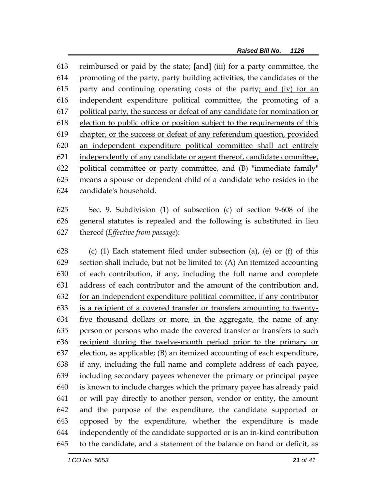reimbursed or paid by the state; **[**and**]** (iii) for a party committee, the promoting of the party, party building activities, the candidates of the party and continuing operating costs of the party; and (iv) for an independent expenditure political committee, the promoting of a political party, the success or defeat of any candidate for nomination or election to public office or position subject to the requirements of this chapter, or the success or defeat of any referendum question, provided an independent expenditure political committee shall act entirely independently of any candidate or agent thereof, candidate committee, political committee or party committee, and (B) "immediate family" means a spouse or dependent child of a candidate who resides in the candidate's household.

 Sec. 9. Subdivision (1) of subsection (c) of section 9-608 of the general statutes is repealed and the following is substituted in lieu thereof (*Effective from passage*):

 (c) (1) Each statement filed under subsection (a), (e) or (f) of this section shall include, but not be limited to: (A) An itemized accounting of each contribution, if any, including the full name and complete address of each contributor and the amount of the contribution and, for an independent expenditure political committee, if any contributor is a recipient of a covered transfer or transfers amounting to twenty- five thousand dollars or more, in the aggregate, the name of any 635 person or persons who made the covered transfer or transfers to such recipient during the twelve-month period prior to the primary or election, as applicable; (B) an itemized accounting of each expenditure, if any, including the full name and complete address of each payee, including secondary payees whenever the primary or principal payee is known to include charges which the primary payee has already paid or will pay directly to another person, vendor or entity, the amount and the purpose of the expenditure, the candidate supported or opposed by the expenditure, whether the expenditure is made independently of the candidate supported or is an in-kind contribution to the candidate, and a statement of the balance on hand or deficit, as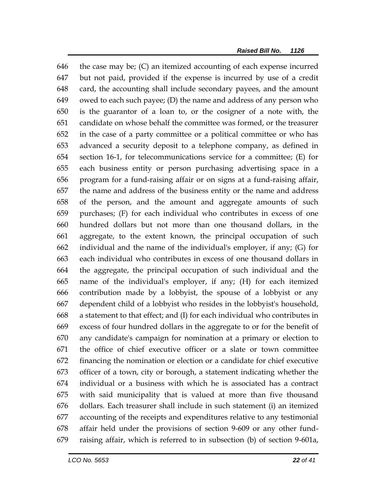646 the case may be;  $(C)$  an itemized accounting of each expense incurred but not paid, provided if the expense is incurred by use of a credit card, the accounting shall include secondary payees, and the amount owed to each such payee; (D) the name and address of any person who is the guarantor of a loan to, or the cosigner of a note with, the candidate on whose behalf the committee was formed, or the treasurer in the case of a party committee or a political committee or who has advanced a security deposit to a telephone company, as defined in section 16-1, for telecommunications service for a committee; (E) for each business entity or person purchasing advertising space in a program for a fund-raising affair or on signs at a fund-raising affair, the name and address of the business entity or the name and address of the person, and the amount and aggregate amounts of such purchases; (F) for each individual who contributes in excess of one hundred dollars but not more than one thousand dollars, in the aggregate, to the extent known, the principal occupation of such individual and the name of the individual's employer, if any; (G) for each individual who contributes in excess of one thousand dollars in the aggregate, the principal occupation of such individual and the name of the individual's employer, if any; (H) for each itemized contribution made by a lobbyist, the spouse of a lobbyist or any dependent child of a lobbyist who resides in the lobbyist's household, a statement to that effect; and (I) for each individual who contributes in excess of four hundred dollars in the aggregate to or for the benefit of any candidate's campaign for nomination at a primary or election to the office of chief executive officer or a slate or town committee financing the nomination or election or a candidate for chief executive officer of a town, city or borough, a statement indicating whether the individual or a business with which he is associated has a contract with said municipality that is valued at more than five thousand dollars. Each treasurer shall include in such statement (i) an itemized accounting of the receipts and expenditures relative to any testimonial affair held under the provisions of section 9-609 or any other fund-raising affair, which is referred to in subsection (b) of section 9-601a,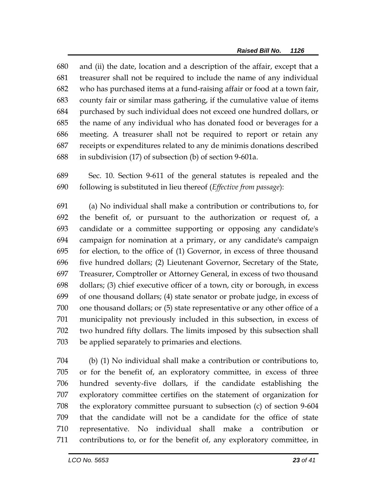and (ii) the date, location and a description of the affair, except that a treasurer shall not be required to include the name of any individual who has purchased items at a fund-raising affair or food at a town fair, county fair or similar mass gathering, if the cumulative value of items purchased by such individual does not exceed one hundred dollars, or the name of any individual who has donated food or beverages for a meeting. A treasurer shall not be required to report or retain any receipts or expenditures related to any de minimis donations described in subdivision (17) of subsection (b) of section 9-601a.

 Sec. 10. Section 9-611 of the general statutes is repealed and the following is substituted in lieu thereof (*Effective from passage*):

 (a) No individual shall make a contribution or contributions to, for the benefit of, or pursuant to the authorization or request of, a candidate or a committee supporting or opposing any candidate's campaign for nomination at a primary, or any candidate's campaign for election, to the office of (1) Governor, in excess of three thousand five hundred dollars; (2) Lieutenant Governor, Secretary of the State, Treasurer, Comptroller or Attorney General, in excess of two thousand dollars; (3) chief executive officer of a town, city or borough, in excess of one thousand dollars; (4) state senator or probate judge, in excess of one thousand dollars; or (5) state representative or any other office of a municipality not previously included in this subsection, in excess of two hundred fifty dollars. The limits imposed by this subsection shall be applied separately to primaries and elections.

 (b) (1) No individual shall make a contribution or contributions to, or for the benefit of, an exploratory committee, in excess of three hundred seventy-five dollars, if the candidate establishing the exploratory committee certifies on the statement of organization for the exploratory committee pursuant to subsection (c) of section 9-604 that the candidate will not be a candidate for the office of state representative. No individual shall make a contribution or contributions to, or for the benefit of, any exploratory committee, in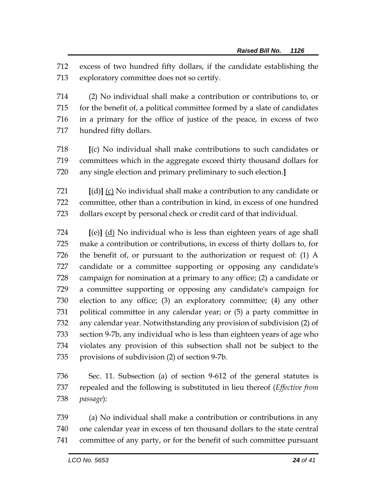excess of two hundred fifty dollars, if the candidate establishing the exploratory committee does not so certify.

 (2) No individual shall make a contribution or contributions to, or for the benefit of, a political committee formed by a slate of candidates in a primary for the office of justice of the peace, in excess of two hundred fifty dollars.

 **[**(c) No individual shall make contributions to such candidates or committees which in the aggregate exceed thirty thousand dollars for any single election and primary preliminary to such election.**]**

 **[**(d)**]** (c) No individual shall make a contribution to any candidate or committee, other than a contribution in kind, in excess of one hundred dollars except by personal check or credit card of that individual.

 **[**(e)**]** (d) No individual who is less than eighteen years of age shall make a contribution or contributions, in excess of thirty dollars to, for the benefit of, or pursuant to the authorization or request of: (1) A candidate or a committee supporting or opposing any candidate's campaign for nomination at a primary to any office; (2) a candidate or a committee supporting or opposing any candidate's campaign for election to any office; (3) an exploratory committee; (4) any other political committee in any calendar year; or (5) a party committee in any calendar year. Notwithstanding any provision of subdivision (2) of section 9-7b, any individual who is less than eighteen years of age who violates any provision of this subsection shall not be subject to the provisions of subdivision (2) of section 9-7b.

 Sec. 11. Subsection (a) of section 9-612 of the general statutes is repealed and the following is substituted in lieu thereof (*Effective from passage*):

 (a) No individual shall make a contribution or contributions in any one calendar year in excess of ten thousand dollars to the state central committee of any party, or for the benefit of such committee pursuant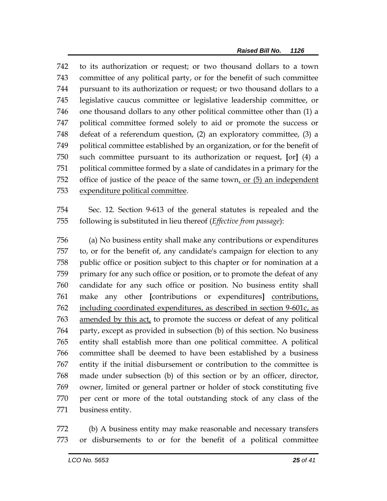to its authorization or request; or two thousand dollars to a town committee of any political party, or for the benefit of such committee pursuant to its authorization or request; or two thousand dollars to a legislative caucus committee or legislative leadership committee, or one thousand dollars to any other political committee other than (1) a political committee formed solely to aid or promote the success or defeat of a referendum question, (2) an exploratory committee, (3) a political committee established by an organization, or for the benefit of such committee pursuant to its authorization or request, **[**or**]** (4) a political committee formed by a slate of candidates in a primary for the office of justice of the peace of the same town, or (5) an independent expenditure political committee.

 Sec. 12. Section 9-613 of the general statutes is repealed and the following is substituted in lieu thereof (*Effective from passage*):

 (a) No business entity shall make any contributions or expenditures to, or for the benefit of, any candidate's campaign for election to any public office or position subject to this chapter or for nomination at a primary for any such office or position, or to promote the defeat of any candidate for any such office or position. No business entity shall make any other **[**contributions or expenditures**]** contributions, including coordinated expenditures, as described in section 9-601c, as 763 amended by this act, to promote the success or defeat of any political party, except as provided in subsection (b) of this section. No business entity shall establish more than one political committee. A political committee shall be deemed to have been established by a business entity if the initial disbursement or contribution to the committee is made under subsection (b) of this section or by an officer, director, owner, limited or general partner or holder of stock constituting five per cent or more of the total outstanding stock of any class of the business entity.

 (b) A business entity may make reasonable and necessary transfers or disbursements to or for the benefit of a political committee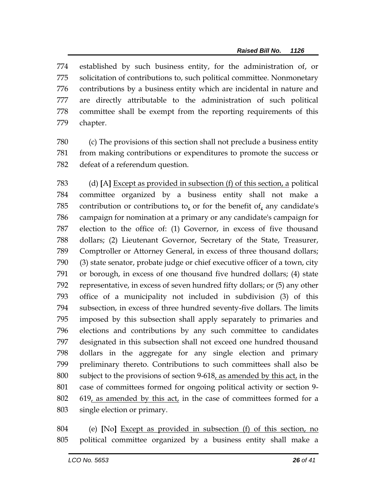established by such business entity, for the administration of, or solicitation of contributions to, such political committee. Nonmonetary contributions by a business entity which are incidental in nature and are directly attributable to the administration of such political committee shall be exempt from the reporting requirements of this chapter.

 (c) The provisions of this section shall not preclude a business entity from making contributions or expenditures to promote the success or defeat of a referendum question.

 (d) **[**A**]** Except as provided in subsection (f) of this section, a political committee organized by a business entity shall not make a contribution or contributions to, or for the benefit of, any candidate's campaign for nomination at a primary or any candidate's campaign for election to the office of: (1) Governor, in excess of five thousand dollars; (2) Lieutenant Governor, Secretary of the State, Treasurer, Comptroller or Attorney General, in excess of three thousand dollars; (3) state senator, probate judge or chief executive officer of a town, city or borough, in excess of one thousand five hundred dollars; (4) state representative, in excess of seven hundred fifty dollars; or (5) any other office of a municipality not included in subdivision (3) of this subsection, in excess of three hundred seventy-five dollars. The limits imposed by this subsection shall apply separately to primaries and elections and contributions by any such committee to candidates designated in this subsection shall not exceed one hundred thousand dollars in the aggregate for any single election and primary preliminary thereto. Contributions to such committees shall also be 800 subject to the provisions of section 9-618, as amended by this act, in the case of committees formed for ongoing political activity or section 9- 619, as amended by this act, in the case of committees formed for a single election or primary.

 (e) **[**No**]** Except as provided in subsection (f) of this section, no political committee organized by a business entity shall make a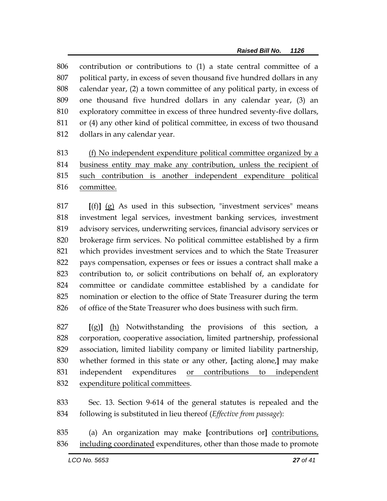contribution or contributions to (1) a state central committee of a political party, in excess of seven thousand five hundred dollars in any calendar year, (2) a town committee of any political party, in excess of one thousand five hundred dollars in any calendar year, (3) an exploratory committee in excess of three hundred seventy-five dollars, or (4) any other kind of political committee, in excess of two thousand dollars in any calendar year.

 (f) No independent expenditure political committee organized by a business entity may make any contribution, unless the recipient of such contribution is another independent expenditure political committee.

 **[**(f)**]** (g) As used in this subsection, "investment services" means investment legal services, investment banking services, investment advisory services, underwriting services, financial advisory services or brokerage firm services. No political committee established by a firm which provides investment services and to which the State Treasurer pays compensation, expenses or fees or issues a contract shall make a contribution to, or solicit contributions on behalf of, an exploratory committee or candidate committee established by a candidate for nomination or election to the office of State Treasurer during the term of office of the State Treasurer who does business with such firm.

 **[**(g)**]** (h) Notwithstanding the provisions of this section, a corporation, cooperative association, limited partnership, professional association, limited liability company or limited liability partnership, whether formed in this state or any other, **[**acting alone,**]** may make independent expenditures or contributions to independent expenditure political committees.

 Sec. 13. Section 9-614 of the general statutes is repealed and the following is substituted in lieu thereof (*Effective from passage*):

 (a) An organization may make **[**contributions or**]** contributions, including coordinated expenditures, other than those made to promote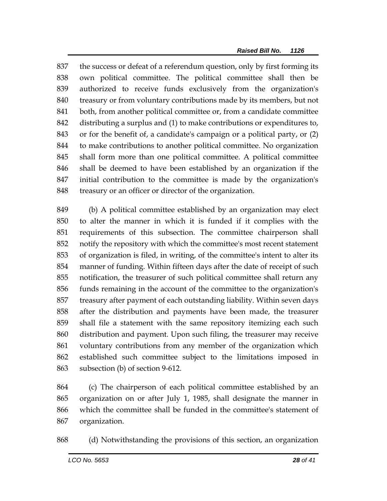the success or defeat of a referendum question, only by first forming its own political committee. The political committee shall then be authorized to receive funds exclusively from the organization's 840 treasury or from voluntary contributions made by its members, but not both, from another political committee or, from a candidate committee distributing a surplus and (1) to make contributions or expenditures to, or for the benefit of, a candidate's campaign or a political party, or (2) to make contributions to another political committee. No organization shall form more than one political committee. A political committee shall be deemed to have been established by an organization if the initial contribution to the committee is made by the organization's 848 treasury or an officer or director of the organization.

 (b) A political committee established by an organization may elect to alter the manner in which it is funded if it complies with the requirements of this subsection. The committee chairperson shall notify the repository with which the committee's most recent statement of organization is filed, in writing, of the committee's intent to alter its manner of funding. Within fifteen days after the date of receipt of such notification, the treasurer of such political committee shall return any funds remaining in the account of the committee to the organization's treasury after payment of each outstanding liability. Within seven days after the distribution and payments have been made, the treasurer shall file a statement with the same repository itemizing each such distribution and payment. Upon such filing, the treasurer may receive voluntary contributions from any member of the organization which established such committee subject to the limitations imposed in subsection (b) of section 9-612.

 (c) The chairperson of each political committee established by an organization on or after July 1, 1985, shall designate the manner in which the committee shall be funded in the committee's statement of organization.

(d) Notwithstanding the provisions of this section, an organization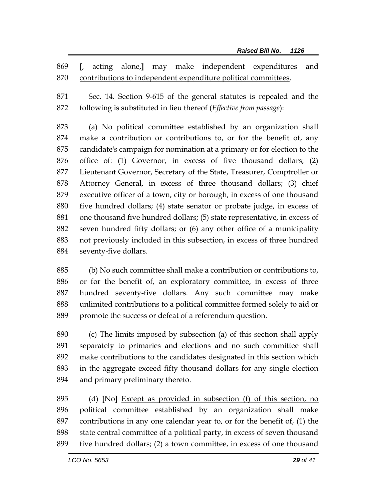**[**, acting alone,**]** may make independent expenditures and contributions to independent expenditure political committees.

 Sec. 14. Section 9-615 of the general statutes is repealed and the following is substituted in lieu thereof (*Effective from passage*):

 (a) No political committee established by an organization shall make a contribution or contributions to, or for the benefit of, any candidate's campaign for nomination at a primary or for election to the office of: (1) Governor, in excess of five thousand dollars; (2) Lieutenant Governor, Secretary of the State, Treasurer, Comptroller or Attorney General, in excess of three thousand dollars; (3) chief executive officer of a town, city or borough, in excess of one thousand five hundred dollars; (4) state senator or probate judge, in excess of one thousand five hundred dollars; (5) state representative, in excess of seven hundred fifty dollars; or (6) any other office of a municipality not previously included in this subsection, in excess of three hundred seventy-five dollars.

 (b) No such committee shall make a contribution or contributions to, or for the benefit of, an exploratory committee, in excess of three hundred seventy-five dollars. Any such committee may make unlimited contributions to a political committee formed solely to aid or promote the success or defeat of a referendum question.

 (c) The limits imposed by subsection (a) of this section shall apply separately to primaries and elections and no such committee shall make contributions to the candidates designated in this section which in the aggregate exceed fifty thousand dollars for any single election and primary preliminary thereto.

 (d) **[**No**]** Except as provided in subsection (f) of this section, no political committee established by an organization shall make contributions in any one calendar year to, or for the benefit of, (1) the state central committee of a political party, in excess of seven thousand five hundred dollars; (2) a town committee, in excess of one thousand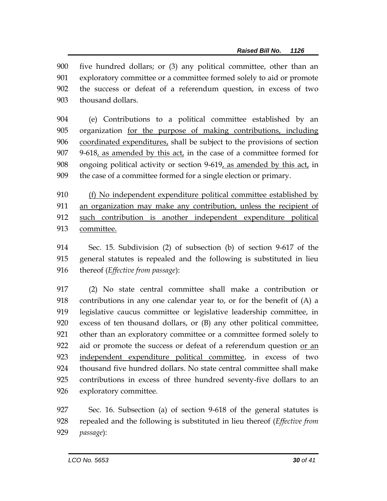five hundred dollars; or (3) any political committee, other than an exploratory committee or a committee formed solely to aid or promote the success or defeat of a referendum question, in excess of two thousand dollars.

 (e) Contributions to a political committee established by an organization for the purpose of making contributions, including coordinated expenditures, shall be subject to the provisions of section 9-618, as amended by this act, in the case of a committee formed for ongoing political activity or section 9-619, as amended by this act, in the case of a committee formed for a single election or primary.

 (f) No independent expenditure political committee established by 911 an organization may make any contribution, unless the recipient of such contribution is another independent expenditure political committee.

 Sec. 15. Subdivision (2) of subsection (b) of section 9-617 of the general statutes is repealed and the following is substituted in lieu thereof (*Effective from passage*):

 (2) No state central committee shall make a contribution or contributions in any one calendar year to, or for the benefit of (A) a legislative caucus committee or legislative leadership committee, in excess of ten thousand dollars, or (B) any other political committee, other than an exploratory committee or a committee formed solely to aid or promote the success or defeat of a referendum question or an independent expenditure political committee, in excess of two thousand five hundred dollars. No state central committee shall make contributions in excess of three hundred seventy-five dollars to an exploratory committee.

 Sec. 16. Subsection (a) of section 9-618 of the general statutes is repealed and the following is substituted in lieu thereof (*Effective from passage*):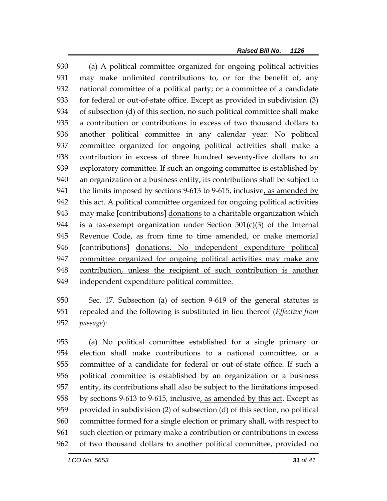(a) A political committee organized for ongoing political activities may make unlimited contributions to, or for the benefit of, any national committee of a political party; or a committee of a candidate for federal or out-of-state office. Except as provided in subdivision (3) of subsection (d) of this section, no such political committee shall make a contribution or contributions in excess of two thousand dollars to another political committee in any calendar year. No political committee organized for ongoing political activities shall make a contribution in excess of three hundred seventy-five dollars to an exploratory committee. If such an ongoing committee is established by an organization or a business entity, its contributions shall be subject to 941 the limits imposed by sections 9-613 to 9-615, inclusive, as amended by this act. A political committee organized for ongoing political activities may make **[**contributions**]** donations to a charitable organization which 944 is a tax-exempt organization under Section  $501(c)(3)$  of the Internal Revenue Code, as from time to time amended, or make memorial **[**contributions**]** donations. No independent expenditure political committee organized for ongoing political activities may make any contribution, unless the recipient of such contribution is another independent expenditure political committee.

 Sec. 17. Subsection (a) of section 9-619 of the general statutes is repealed and the following is substituted in lieu thereof (*Effective from passage*):

 (a) No political committee established for a single primary or election shall make contributions to a national committee, or a committee of a candidate for federal or out-of-state office. If such a political committee is established by an organization or a business entity, its contributions shall also be subject to the limitations imposed by sections 9-613 to 9-615, inclusive, as amended by this act. Except as provided in subdivision (2) of subsection (d) of this section, no political committee formed for a single election or primary shall, with respect to such election or primary make a contribution or contributions in excess of two thousand dollars to another political committee, provided no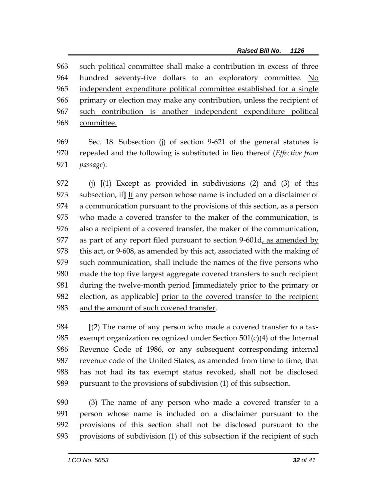such political committee shall make a contribution in excess of three hundred seventy-five dollars to an exploratory committee. No independent expenditure political committee established for a single 966 primary or election may make any contribution, unless the recipient of such contribution is another independent expenditure political committee.

 Sec. 18. Subsection (j) of section 9-621 of the general statutes is repealed and the following is substituted in lieu thereof (*Effective from passage*):

 (j) **[**(1) Except as provided in subdivisions (2) and (3) of this subsection, if**]** If any person whose name is included on a disclaimer of a communication pursuant to the provisions of this section, as a person who made a covered transfer to the maker of the communication, is also a recipient of a covered transfer, the maker of the communication, as part of any report filed pursuant to section 9-601d, as amended by this act, or 9-608, as amended by this act, associated with the making of such communication, shall include the names of the five persons who made the top five largest aggregate covered transfers to such recipient during the twelve-month period **[**immediately prior to the primary or election, as applicable**]** prior to the covered transfer to the recipient and the amount of such covered transfer.

 **[**(2) The name of any person who made a covered transfer to a tax-985 exempt organization recognized under Section  $501(c)(4)$  of the Internal Revenue Code of 1986, or any subsequent corresponding internal revenue code of the United States, as amended from time to time, that has not had its tax exempt status revoked, shall not be disclosed pursuant to the provisions of subdivision (1) of this subsection.

 (3) The name of any person who made a covered transfer to a person whose name is included on a disclaimer pursuant to the provisions of this section shall not be disclosed pursuant to the provisions of subdivision (1) of this subsection if the recipient of such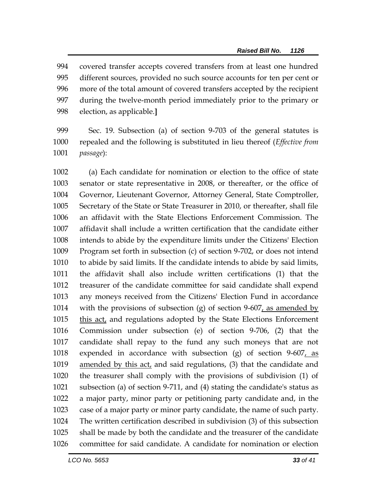covered transfer accepts covered transfers from at least one hundred different sources, provided no such source accounts for ten per cent or more of the total amount of covered transfers accepted by the recipient during the twelve-month period immediately prior to the primary or election, as applicable.**]**

 Sec. 19. Subsection (a) of section 9-703 of the general statutes is repealed and the following is substituted in lieu thereof (*Effective from passage*):

 (a) Each candidate for nomination or election to the office of state senator or state representative in 2008, or thereafter, or the office of Governor, Lieutenant Governor, Attorney General, State Comptroller, Secretary of the State or State Treasurer in 2010, or thereafter, shall file an affidavit with the State Elections Enforcement Commission. The affidavit shall include a written certification that the candidate either intends to abide by the expenditure limits under the Citizens' Election Program set forth in subsection (c) of section 9-702, or does not intend to abide by said limits. If the candidate intends to abide by said limits, the affidavit shall also include written certifications (1) that the treasurer of the candidate committee for said candidate shall expend any moneys received from the Citizens' Election Fund in accordance with the provisions of subsection (g) of section 9-607, as amended by 1015 this act, and regulations adopted by the State Elections Enforcement Commission under subsection (e) of section 9-706, (2) that the candidate shall repay to the fund any such moneys that are not expended in accordance with subsection (g) of section 9-607, as amended by this act, and said regulations, (3) that the candidate and the treasurer shall comply with the provisions of subdivision (1) of subsection (a) of section 9-711, and (4) stating the candidate's status as a major party, minor party or petitioning party candidate and, in the case of a major party or minor party candidate, the name of such party. The written certification described in subdivision (3) of this subsection shall be made by both the candidate and the treasurer of the candidate committee for said candidate. A candidate for nomination or election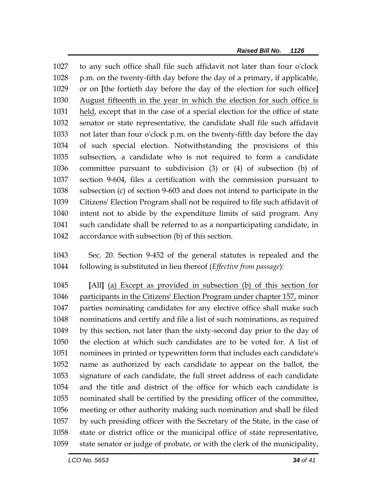to any such office shall file such affidavit not later than four o'clock p.m. on the twenty-fifth day before the day of a primary, if applicable, or on **[**the fortieth day before the day of the election for such office**]** August fifteenth in the year in which the election for such office is 1031 held, except that in the case of a special election for the office of state senator or state representative, the candidate shall file such affidavit not later than four o'clock p.m. on the twenty-fifth day before the day of such special election. Notwithstanding the provisions of this subsection, a candidate who is not required to form a candidate committee pursuant to subdivision (3) or (4) of subsection (b) of section 9-604, files a certification with the commission pursuant to subsection (c) of section 9-603 and does not intend to participate in the Citizens' Election Program shall not be required to file such affidavit of intent not to abide by the expenditure limits of said program. Any such candidate shall be referred to as a nonparticipating candidate, in accordance with subsection (b) of this section.

 Sec. 20. Section 9-452 of the general statutes is repealed and the following is substituted in lieu thereof (*Effective from passage*):

 **[**All**]** (a) Except as provided in subsection (b) of this section for participants in the Citizens' Election Program under chapter 157, minor parties nominating candidates for any elective office shall make such nominations and certify and file a list of such nominations, as required by this section, not later than the sixty-second day prior to the day of the election at which such candidates are to be voted for. A list of nominees in printed or typewritten form that includes each candidate's name as authorized by each candidate to appear on the ballot, the signature of each candidate, the full street address of each candidate and the title and district of the office for which each candidate is nominated shall be certified by the presiding officer of the committee, meeting or other authority making such nomination and shall be filed by such presiding officer with the Secretary of the State, in the case of state or district office or the municipal office of state representative, state senator or judge of probate, or with the clerk of the municipality,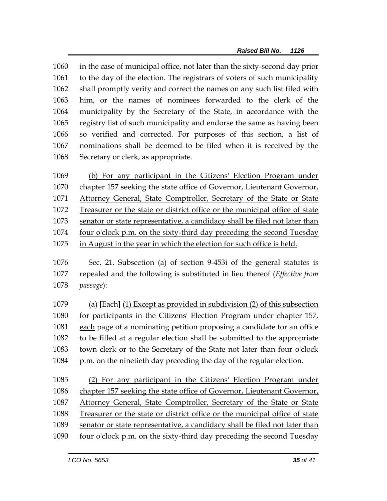in the case of municipal office, not later than the sixty-second day prior 1061 to the day of the election. The registrars of voters of such municipality shall promptly verify and correct the names on any such list filed with him, or the names of nominees forwarded to the clerk of the municipality by the Secretary of the State, in accordance with the registry list of such municipality and endorse the same as having been so verified and corrected. For purposes of this section, a list of nominations shall be deemed to be filed when it is received by the Secretary or clerk, as appropriate.

 (b) For any participant in the Citizens' Election Program under 1070 chapter 157 seeking the state office of Governor, Lieutenant Governor, Attorney General, State Comptroller, Secretary of the State or State Treasurer or the state or district office or the municipal office of state senator or state representative, a candidacy shall be filed not later than 1074 four o'clock p.m. on the sixty-third day preceding the second Tuesday in August in the year in which the election for such office is held.

 Sec. 21. Subsection (a) of section 9-453i of the general statutes is repealed and the following is substituted in lieu thereof (*Effective from passage*):

 (a) **[**Each**]** (1) Except as provided in subdivision (2) of this subsection for participants in the Citizens' Election Program under chapter 157, each page of a nominating petition proposing a candidate for an office to be filled at a regular election shall be submitted to the appropriate town clerk or to the Secretary of the State not later than four o'clock p.m. on the ninetieth day preceding the day of the regular election.

 (2) For any participant in the Citizens' Election Program under chapter 157 seeking the state office of Governor, Lieutenant Governor, Attorney General, State Comptroller, Secretary of the State or State Treasurer or the state or district office or the municipal office of state senator or state representative, a candidacy shall be filed not later than four o'clock p.m. on the sixty-third day preceding the second Tuesday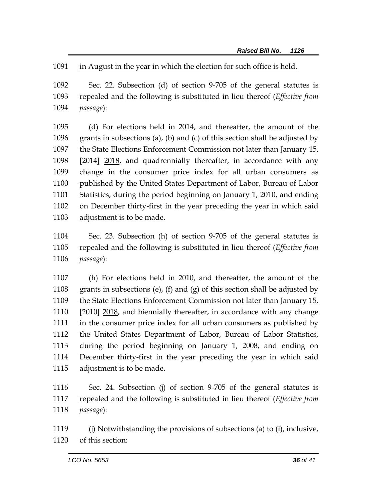## in August in the year in which the election for such office is held.

 Sec. 22. Subsection (d) of section 9-705 of the general statutes is repealed and the following is substituted in lieu thereof (*Effective from passage*):

 (d) For elections held in 2014, and thereafter, the amount of the grants in subsections (a), (b) and (c) of this section shall be adjusted by the State Elections Enforcement Commission not later than January 15, **[**2014**]** 2018, and quadrennially thereafter, in accordance with any change in the consumer price index for all urban consumers as published by the United States Department of Labor, Bureau of Labor Statistics, during the period beginning on January 1, 2010, and ending on December thirty-first in the year preceding the year in which said adjustment is to be made.

 Sec. 23. Subsection (h) of section 9-705 of the general statutes is repealed and the following is substituted in lieu thereof (*Effective from passage*):

 (h) For elections held in 2010, and thereafter, the amount of the grants in subsections (e), (f) and (g) of this section shall be adjusted by the State Elections Enforcement Commission not later than January 15, **[**2010**]** 2018, and biennially thereafter, in accordance with any change in the consumer price index for all urban consumers as published by the United States Department of Labor, Bureau of Labor Statistics, during the period beginning on January 1, 2008, and ending on December thirty-first in the year preceding the year in which said adjustment is to be made.

 Sec. 24. Subsection (j) of section 9-705 of the general statutes is repealed and the following is substituted in lieu thereof (*Effective from passage*):

 (j) Notwithstanding the provisions of subsections (a) to (i), inclusive, of this section: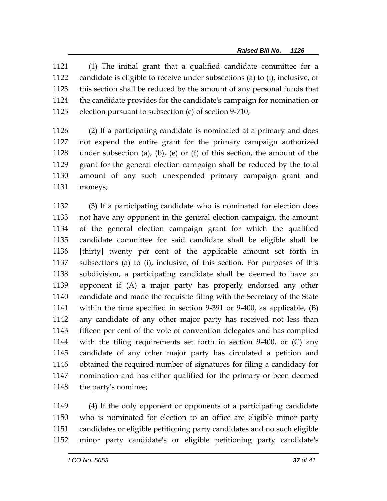(1) The initial grant that a qualified candidate committee for a candidate is eligible to receive under subsections (a) to (i), inclusive, of this section shall be reduced by the amount of any personal funds that the candidate provides for the candidate's campaign for nomination or election pursuant to subsection (c) of section 9-710;

 (2) If a participating candidate is nominated at a primary and does not expend the entire grant for the primary campaign authorized under subsection (a), (b), (e) or (f) of this section, the amount of the grant for the general election campaign shall be reduced by the total amount of any such unexpended primary campaign grant and moneys;

 (3) If a participating candidate who is nominated for election does not have any opponent in the general election campaign, the amount of the general election campaign grant for which the qualified candidate committee for said candidate shall be eligible shall be **[**thirty**]** twenty per cent of the applicable amount set forth in subsections (a) to (i), inclusive, of this section. For purposes of this subdivision, a participating candidate shall be deemed to have an opponent if (A) a major party has properly endorsed any other candidate and made the requisite filing with the Secretary of the State within the time specified in section 9-391 or 9-400, as applicable, (B) any candidate of any other major party has received not less than fifteen per cent of the vote of convention delegates and has complied with the filing requirements set forth in section 9-400, or (C) any candidate of any other major party has circulated a petition and obtained the required number of signatures for filing a candidacy for nomination and has either qualified for the primary or been deemed the party's nominee;

 (4) If the only opponent or opponents of a participating candidate who is nominated for election to an office are eligible minor party candidates or eligible petitioning party candidates and no such eligible minor party candidate's or eligible petitioning party candidate's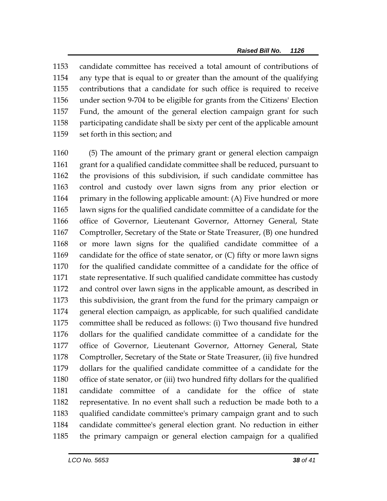candidate committee has received a total amount of contributions of any type that is equal to or greater than the amount of the qualifying contributions that a candidate for such office is required to receive under section 9-704 to be eligible for grants from the Citizens' Election Fund, the amount of the general election campaign grant for such participating candidate shall be sixty per cent of the applicable amount set forth in this section; and

 (5) The amount of the primary grant or general election campaign grant for a qualified candidate committee shall be reduced, pursuant to the provisions of this subdivision, if such candidate committee has control and custody over lawn signs from any prior election or primary in the following applicable amount: (A) Five hundred or more lawn signs for the qualified candidate committee of a candidate for the office of Governor, Lieutenant Governor, Attorney General, State Comptroller, Secretary of the State or State Treasurer, (B) one hundred or more lawn signs for the qualified candidate committee of a candidate for the office of state senator, or (C) fifty or more lawn signs for the qualified candidate committee of a candidate for the office of state representative. If such qualified candidate committee has custody and control over lawn signs in the applicable amount, as described in this subdivision, the grant from the fund for the primary campaign or general election campaign, as applicable, for such qualified candidate committee shall be reduced as follows: (i) Two thousand five hundred dollars for the qualified candidate committee of a candidate for the office of Governor, Lieutenant Governor, Attorney General, State Comptroller, Secretary of the State or State Treasurer, (ii) five hundred dollars for the qualified candidate committee of a candidate for the office of state senator, or (iii) two hundred fifty dollars for the qualified candidate committee of a candidate for the office of state representative. In no event shall such a reduction be made both to a qualified candidate committee's primary campaign grant and to such candidate committee's general election grant. No reduction in either the primary campaign or general election campaign for a qualified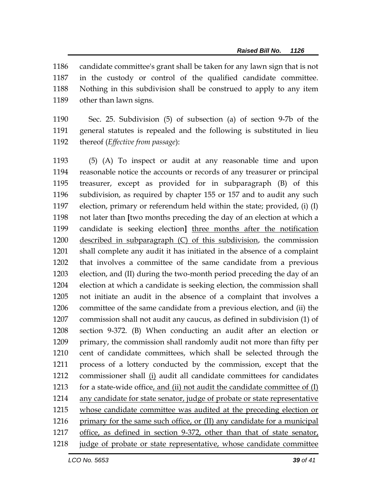candidate committee's grant shall be taken for any lawn sign that is not in the custody or control of the qualified candidate committee. Nothing in this subdivision shall be construed to apply to any item other than lawn signs.

 Sec. 25. Subdivision (5) of subsection (a) of section 9-7b of the general statutes is repealed and the following is substituted in lieu thereof (*Effective from passage*):

 (5) (A) To inspect or audit at any reasonable time and upon reasonable notice the accounts or records of any treasurer or principal treasurer, except as provided for in subparagraph (B) of this subdivision, as required by chapter 155 or 157 and to audit any such election, primary or referendum held within the state; provided, (i) (I) not later than **[**two months preceding the day of an election at which a candidate is seeking election**]** three months after the notification described in subparagraph (C) of this subdivision, the commission shall complete any audit it has initiated in the absence of a complaint that involves a committee of the same candidate from a previous election, and (II) during the two-month period preceding the day of an election at which a candidate is seeking election, the commission shall not initiate an audit in the absence of a complaint that involves a committee of the same candidate from a previous election, and (ii) the commission shall not audit any caucus, as defined in subdivision (1) of section 9-372. (B) When conducting an audit after an election or primary, the commission shall randomly audit not more than fifty per cent of candidate committees, which shall be selected through the process of a lottery conducted by the commission, except that the commissioner shall (i) audit all candidate committees for candidates for a state-wide office, and (ii) not audit the candidate committee of (I) 1214 any candidate for state senator, judge of probate or state representative whose candidate committee was audited at the preceding election or 1216 primary for the same such office, or (II) any candidate for a municipal office, as defined in section 9-372, other than that of state senator, 1218 judge of probate or state representative, whose candidate committee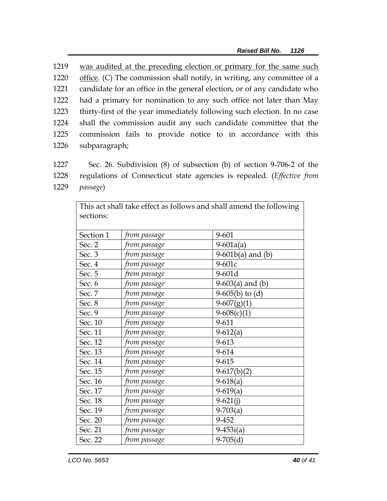was audited at the preceding election or primary for the same such office. (C) The commission shall notify, in writing, any committee of a candidate for an office in the general election, or of any candidate who had a primary for nomination to any such office not later than May thirty-first of the year immediately following such election. In no case shall the commission audit any such candidate committee that the commission fails to provide notice to in accordance with this subparagraph;

- 1227 Sec. 26. Subdivision (8) of subsection (b) of section 9-706-2 of the
- 1228 regulations of Connecticut state agencies is repealed. (*Effective from*
- 1229 *passage*)

| sections: |              |                     |
|-----------|--------------|---------------------|
|           |              |                     |
| Section 1 | from passage | 9-601               |
| Sec. 2    | from passage | $9 - 601a(a)$       |
| Sec. 3    | from passage | $9-601b(a)$ and (b) |
| Sec. 4    | from passage | 9-601c              |
| Sec. 5    | from passage | 9-601d              |
| Sec. 6    | from passage | $9-603(a)$ and (b)  |
| Sec. 7    | from passage | $9-605(b)$ to $(d)$ |
| Sec. 8    | from passage | $9-607(g)(1)$       |
| Sec. 9    | from passage | $9 - 608(c)(1)$     |
| Sec. 10   | from passage | 9-611               |
| Sec. 11   | from passage | $9-612(a)$          |
| Sec. 12   | from passage | 9-613               |
| Sec. 13   | from passage | 9-614               |
| Sec. 14   | from passage | 9-615               |
| Sec. 15   | from passage | $9-617(b)(2)$       |
| Sec. 16   | from passage | $9 - 618(a)$        |
| Sec. 17   | from passage | $9-619(a)$          |
| Sec. 18   | from passage | $9 - 621(i)$        |
| Sec. 19   | from passage | $9-703(a)$          |
| Sec. 20   | from passage | 9-452               |
| Sec. 21   | from passage | $9 - 453i(a)$       |
| Sec. 22   | from passage | $9-705(d)$          |

This act shall take effect as follows and shall amend the following